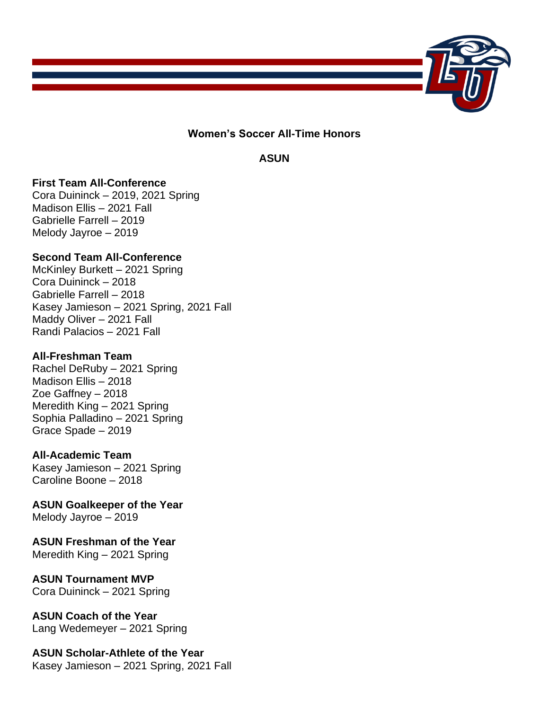

**Women's Soccer All-Time Honors**

**ASUN**

### **First Team All-Conference**

Cora Duininck – 2019, 2021 Spring Madison Ellis – 2021 Fall Gabrielle Farrell – 2019 Melody Jayroe – 2019

### **Second Team All-Conference**

McKinley Burkett – 2021 Spring Cora Duininck – 2018 Gabrielle Farrell – 2018 Kasey Jamieson – 2021 Spring, 2021 Fall Maddy Oliver – 2021 Fall Randi Palacios – 2021 Fall

### **All-Freshman Team**

Rachel DeRuby – 2021 Spring Madison Ellis – 2018 Zoe Gaffney – 2018 Meredith King – 2021 Spring Sophia Palladino – 2021 Spring Grace Spade – 2019

### **All-Academic Team**

Kasey Jamieson – 2021 Spring Caroline Boone – 2018

**ASUN Goalkeeper of the Year** Melody Jayroe – 2019

## **ASUN Freshman of the Year**

Meredith King – 2021 Spring

### **ASUN Tournament MVP**

Cora Duininck – 2021 Spring

### **ASUN Coach of the Year**

Lang Wedemeyer – 2021 Spring

# **ASUN Scholar-Athlete of the Year**

Kasey Jamieson – 2021 Spring, 2021 Fall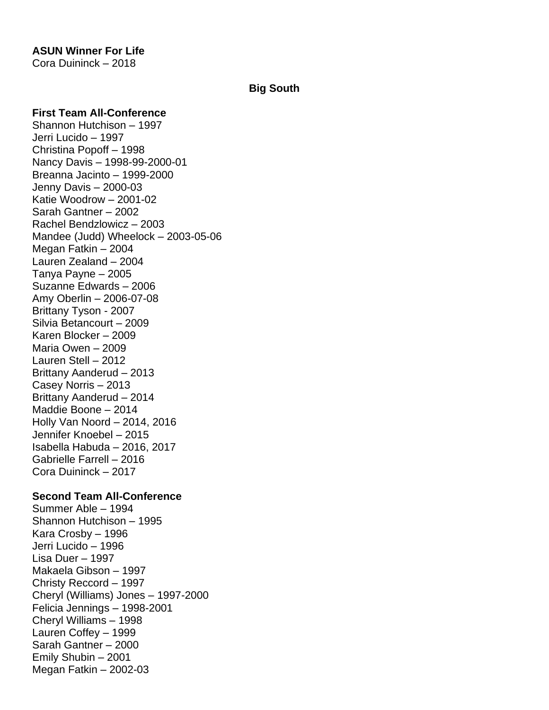## **ASUN Winner For Life**

Cora Duininck – 2018

### **Big South**

#### **First Team All-Conference**

Shannon Hutchison – 1997 Jerri Lucido – 1997 Christina Popoff – 1998 Nancy Davis – 1998-99-2000-01 Breanna Jacinto – 1999-2000 Jenny Davis – 2000-03 Katie Woodrow – 2001-02 Sarah Gantner – 2002 Rachel Bendzlowicz – 2003 Mandee (Judd) Wheelock – 2003-05-06 Megan Fatkin – 2004 Lauren Zealand – 2004 Tanya Payne – 2005 Suzanne Edwards – 2006 Amy Oberlin – 2006-07-08 Brittany Tyson - 2007 Silvia Betancourt – 2009 Karen Blocker – 2009 Maria Owen – 2009 Lauren Stell – 2012 Brittany Aanderud – 2013 Casey Norris – 2013 Brittany Aanderud – 2014 Maddie Boone – 2014 Holly Van Noord – 2014, 2016 Jennifer Knoebel – 2015 Isabella Habuda – 2016, 2017 Gabrielle Farrell – 2016 Cora Duininck – 2017

### **Second Team All-Conference**

Summer Able – 1994 Shannon Hutchison – 1995 Kara Crosby – 1996 Jerri Lucido – 1996 Lisa Duer – 1997 Makaela Gibson – 1997 Christy Reccord – 1997 Cheryl (Williams) Jones – 1997-2000 Felicia Jennings – 1998-2001 Cheryl Williams – 1998 Lauren Coffey – 1999 Sarah Gantner – 2000 Emily Shubin – 2001 Megan Fatkin – 2002-03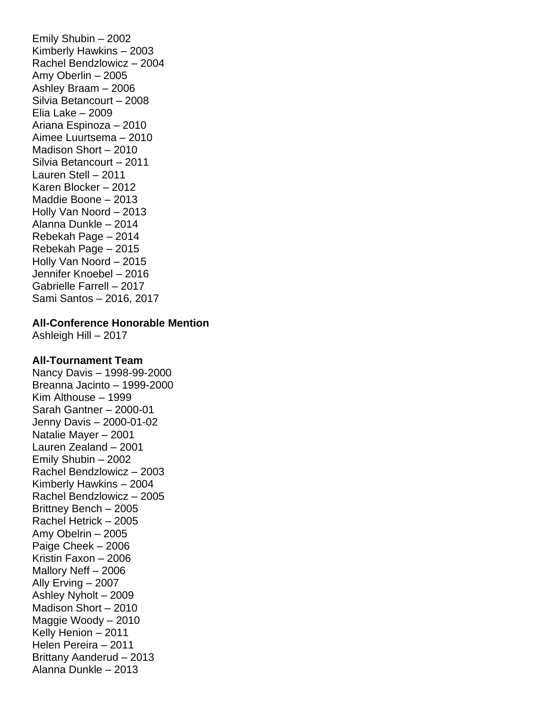Emily Shubin – 2002 Kimberly Hawkins – 2003 Rachel Bendzlowicz – 2004 Amy Oberlin – 2005 Ashley Braam – 2006 Silvia Betancourt – 2008 Elia Lake – 2009 Ariana Espinoza – 2010 Aimee Luurtsema – 2010 Madison Short – 2010 Silvia Betancourt – 2011 Lauren Stell – 2011 Karen Blocker – 2012 Maddie Boone – 2013 Holly Van Noord – 2013 Alanna Dunkle – 2014 Rebekah Page – 2014 Rebekah Page – 2015 Holly Van Noord – 2015 Jennifer Knoebel – 2016 Gabrielle Farrell – 2017 Sami Santos – 2016, 2017

#### **All-Conference Honorable Mention**

Ashleigh Hill – 2017

### **All-Tournament Team**

Nancy Davis – 1998-99-2000 Breanna Jacinto – 1999-2000 Kim Althouse – 1999 Sarah Gantner – 2000-01 Jenny Davis – 2000-01-02 Natalie Mayer – 2001 Lauren Zealand – 2001 Emily Shubin – 2002 Rachel Bendzlowicz – 2003 Kimberly Hawkins – 2004 Rachel Bendzlowicz – 2005 Brittney Bench – 2005 Rachel Hetrick – 2005 Amy Obelrin – 2005 Paige Cheek – 2006 Kristin Faxon – 2006 Mallory Neff – 2006 Ally Erving – 2007 Ashley Nyholt – 2009 Madison Short – 2010 Maggie Woody – 2010 Kelly Henion – 2011 Helen Pereira – 2011 Brittany Aanderud – 2013 Alanna Dunkle – 2013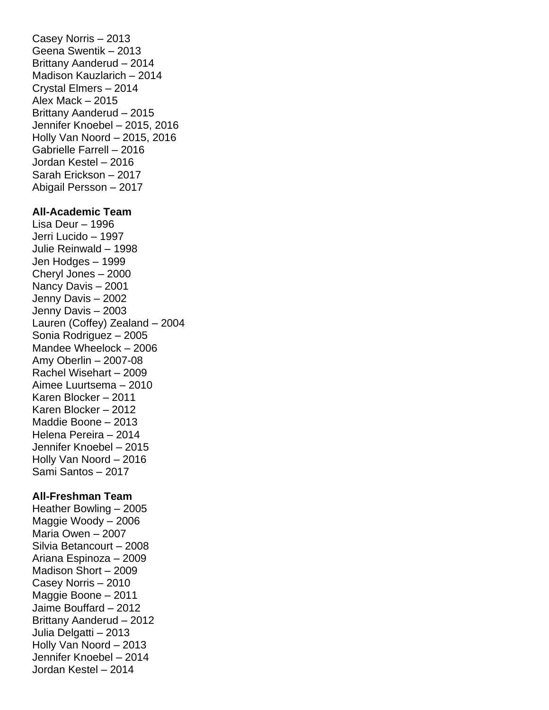Casey Norris – 2013 Geena Swentik – 2013 Brittany Aanderud – 2014 Madison Kauzlarich – 2014 Crystal Elmers – 2014 Alex Mack – 2015 Brittany Aanderud – 2015 Jennifer Knoebel – 2015, 2016 Holly Van Noord – 2015, 2016 Gabrielle Farrell – 2016 Jordan Kestel – 2016 Sarah Erickson – 2017 Abigail Persson – 2017 **All-Academic Team** Lisa Deur – 1996 Jerri Lucido – 1997 Julie Reinwald – 1998 Jen Hodges – 1999 Cheryl Jones – 2000 Nancy Davis – 2001 Jenny Davis – 2002 Jenny Davis – 2003 Lauren (Coffey) Zealand – 2004 Sonia Rodriguez – 2005 Mandee Wheelock – 2006 Amy Oberlin – 2007-08 Rachel Wisehart – 2009 Aimee Luurtsema – 2010 Karen Blocker – 2011 Karen Blocker – 2012 Maddie Boone – 2013 Helena Pereira – 2014 Jennifer Knoebel – 2015 Holly Van Noord – 2016 Sami Santos – 2017

#### **All-Freshman Team**

Heather Bowling – 2005 Maggie Woody – 2006 Maria Owen – 2007 Silvia Betancourt – 2008 Ariana Espinoza – 2009 Madison Short – 2009 Casey Norris – 2010 Maggie Boone – 2011 Jaime Bouffard – 2012 Brittany Aanderud – 2012 Julia Delgatti – 2013 Holly Van Noord – 2013 Jennifer Knoebel – 2014 Jordan Kestel – 2014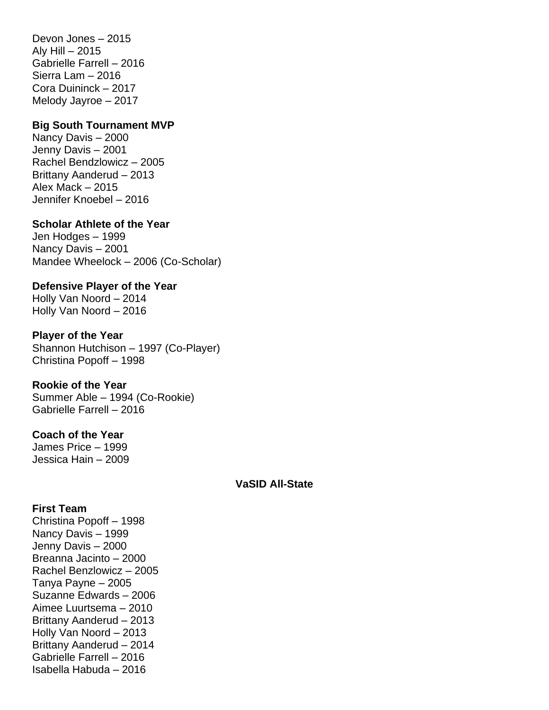Devon Jones – 2015 Aly Hill  $-2015$ Gabrielle Farrell – 2016 Sierra Lam – 2016 Cora Duininck – 2017 Melody Jayroe – 2017

#### **Big South Tournament MVP**

Nancy Davis – 2000 Jenny Davis – 2001 Rachel Bendzlowicz – 2005 Brittany Aanderud – 2013 Alex Mack – 2015 Jennifer Knoebel – 2016

#### **Scholar Athlete of the Year**

Jen Hodges – 1999 Nancy Davis – 2001 Mandee Wheelock – 2006 (Co-Scholar)

**Defensive Player of the Year** Holly Van Noord – 2014 Holly Van Noord – 2016

#### **Player of the Year**

Shannon Hutchison – 1997 (Co-Player) Christina Popoff – 1998

### **Rookie of the Year**

Summer Able – 1994 (Co-Rookie) Gabrielle Farrell – 2016

## **Coach of the Year**

James Price – 1999 Jessica Hain – 2009

#### **VaSID All-State**

#### **First Team**

Christina Popoff – 1998 Nancy Davis – 1999 Jenny Davis – 2000 Breanna Jacinto – 2000 Rachel Benzlowicz – 2005 Tanya Payne – 2005 Suzanne Edwards – 2006 Aimee Luurtsema – 2010 Brittany Aanderud – 2013 Holly Van Noord – 2013 Brittany Aanderud – 2014 Gabrielle Farrell – 2016 Isabella Habuda – 2016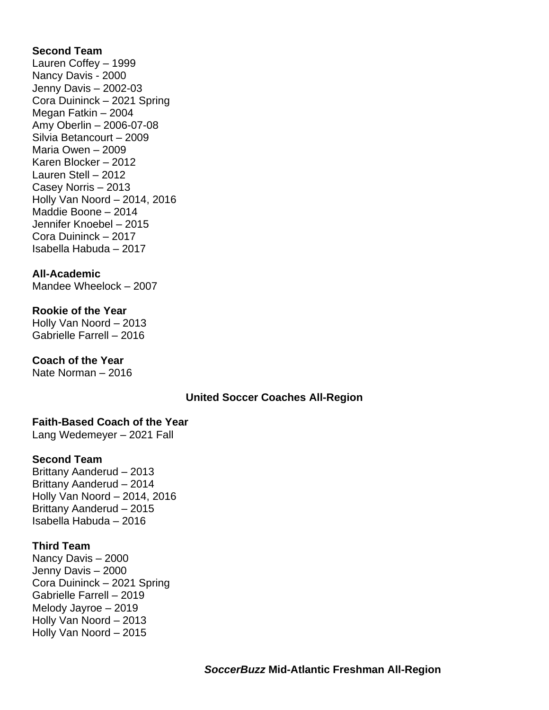### **Second Team**

Lauren Coffey – 1999 Nancy Davis - 2000 Jenny Davis – 2002-03 Cora Duininck – 2021 Spring Megan Fatkin – 2004 Amy Oberlin – 2006-07-08 Silvia Betancourt – 2009 Maria Owen – 2009 Karen Blocker – 2012 Lauren Stell – 2012 Casey Norris – 2013 Holly Van Noord – 2014, 2016 Maddie Boone – 2014 Jennifer Knoebel – 2015 Cora Duininck – 2017 Isabella Habuda – 2017

### **All-Academic**

Mandee Wheelock – 2007

### **Rookie of the Year**

Holly Van Noord – 2013 Gabrielle Farrell – 2016

## **Coach of the Year**

Nate Norman – 2016

### **United Soccer Coaches All-Region**

### **Faith-Based Coach of the Year**

Lang Wedemeyer – 2021 Fall

## **Second Team**

Brittany Aanderud – 2013 Brittany Aanderud – 2014 Holly Van Noord – 2014, 2016 Brittany Aanderud – 2015 Isabella Habuda – 2016

### **Third Team**

Nancy Davis – 2000 Jenny Davis – 2000 Cora Duininck – 2021 Spring Gabrielle Farrell – 2019 Melody Jayroe – 2019 Holly Van Noord – 2013 Holly Van Noord – 2015